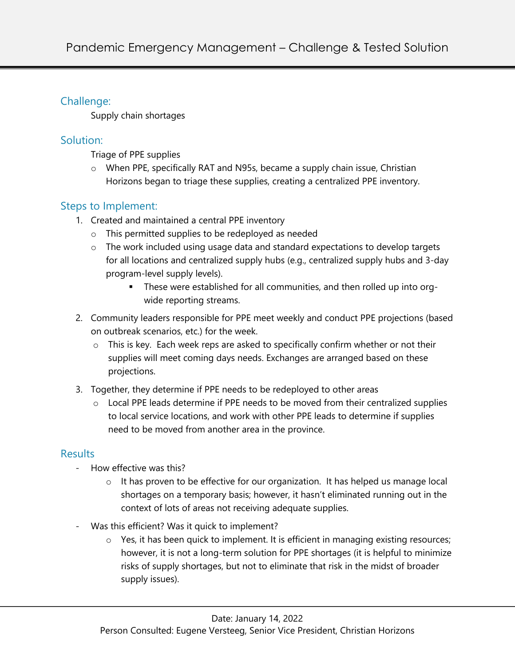## Challenge:

Supply chain shortages

### Solution:

Triage of PPE supplies

 $\circ$  When PPE, specifically RAT and N95s, became a supply chain issue, Christian Horizons began to triage these supplies, creating a centralized PPE inventory.

# Steps to Implement:

- 1. Created and maintained a central PPE inventory
	- o This permitted supplies to be redeployed as needed
	- o The work included using usage data and standard expectations to develop targets for all locations and centralized supply hubs (e.g., centralized supply hubs and 3-day program-level supply levels).
		- § These were established for all communities, and then rolled up into orgwide reporting streams.
- 2. Community leaders responsible for PPE meet weekly and conduct PPE projections (based on outbreak scenarios, etc.) for the week.
	- o This is key. Each week reps are asked to specifically confirm whether or not their supplies will meet coming days needs. Exchanges are arranged based on these projections.
- 3. Together, they determine if PPE needs to be redeployed to other areas
	- o Local PPE leads determine if PPE needs to be moved from their centralized supplies to local service locations, and work with other PPE leads to determine if supplies need to be moved from another area in the province.

### **Results**

- How effective was this?
	- o It has proven to be effective for our organization. It has helped us manage local shortages on a temporary basis; however, it hasn't eliminated running out in the context of lots of areas not receiving adequate supplies.
- Was this efficient? Was it quick to implement?
	- $\circ$  Yes, it has been quick to implement. It is efficient in managing existing resources; however, it is not a long-term solution for PPE shortages (it is helpful to minimize risks of supply shortages, but not to eliminate that risk in the midst of broader supply issues).